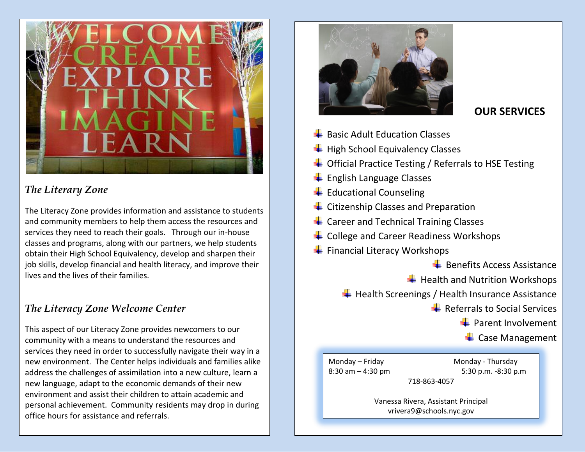

## *The Literary Zone*

The Literacy Zone provides information and assistance to students and community members to help them access the resources and services they need to reach their goals. Through our in-house classes and programs, along with our partners, we help students obtain their High School Equivalency, develop and sharpen their job skills, develop financial and health literacy, and improve their lives and the lives of their families.

## *The Literacy Zone Welcome Center*

This aspect of our Literacy Zone provides newcomers to our community with a means to understand the resources and services they need in order to successfully navigate their way in a new environment. The Center helps individuals and families alike address the challenges of assimilation into a new culture, learn a new language, adapt to the economic demands of their new environment and assist their children to attain academic and personal achievement. Community residents may drop in during office hours for assistance and referrals.



## **OUR SERVICES**

- $\ddot{\bullet}$  Basic Adult Education Classes
- $\bigstar$  High School Equivalency Classes
- $\div$  Official Practice Testing / Referrals to HSE Testing
- $\overline{\phantom{a}}$  English Language Classes
- $\bigstar$  Educational Counseling
- $\overline{\phantom{a}}$  Citizenship Classes and Preparation
- $\leftarrow$  Career and Technical Training Classes
- **↓** College and Career Readiness Workshops
- Financial Literacy Workshops

 $\frac{1}{2}$  Benefits Access Assistance

 $\bigstar$  Health and Nutrition Workshops

 $\overline{\textbf{H}}$  Health Screenings / Health Insurance Assistance

 $\bigstar$  Referrals to Social Services

 $\leftarrow$  Parent Involvement

 $\leftarrow$  Case Management

Monday – Friday Monday - Thursday 8:30 am – 4:30 pm 5:30 p.m. -8:30 p.m 718-863-4057

> Vanessa Rivera, Assistant Principal vrivera9@schools.nyc.gov